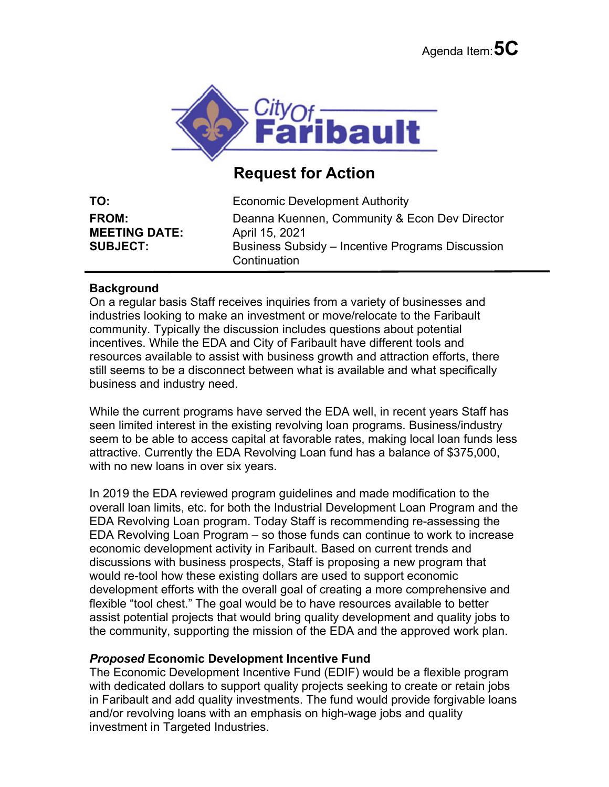

## **Request for Action**

| TO:                  | <b>Economic Development Authority</b>                            |
|----------------------|------------------------------------------------------------------|
| <b>FROM:</b>         | Deanna Kuennen, Community & Econ Dev Director                    |
| <b>MEETING DATE:</b> | April 15, 2021                                                   |
| <b>SUBJECT:</b>      | Business Subsidy – Incentive Programs Discussion<br>Continuation |

## **Background**

On a regular basis Staff receives inquiries from a variety of businesses and industries looking to make an investment or move/relocate to the Faribault community. Typically the discussion includes questions about potential incentives. While the EDA and City of Faribault have different tools and resources available to assist with business growth and attraction efforts, there still seems to be a disconnect between what is available and what specifically business and industry need.

While the current programs have served the EDA well, in recent years Staff has seen limited interest in the existing revolving loan programs. Business/industry seem to be able to access capital at favorable rates, making local loan funds less attractive. Currently the EDA Revolving Loan fund has a balance of \$375,000, with no new loans in over six years.

In 2019 the EDA reviewed program guidelines and made modification to the overall loan limits, etc. for both the Industrial Development Loan Program and the EDA Revolving Loan program. Today Staff is recommending re-assessing the EDA Revolving Loan Program – so those funds can continue to work to increase economic development activity in Faribault. Based on current trends and discussions with business prospects, Staff is proposing a new program that would re-tool how these existing dollars are used to support economic development efforts with the overall goal of creating a more comprehensive and flexible "tool chest." The goal would be to have resources available to better assist potential projects that would bring quality development and quality jobs to the community, supporting the mission of the EDA and the approved work plan.

## *Proposed* **Economic Development Incentive Fund**

The Economic Development Incentive Fund (EDIF) would be a flexible program with dedicated dollars to support quality projects seeking to create or retain jobs in Faribault and add quality investments. The fund would provide forgivable loans and/or revolving loans with an emphasis on high-wage jobs and quality investment in Targeted Industries.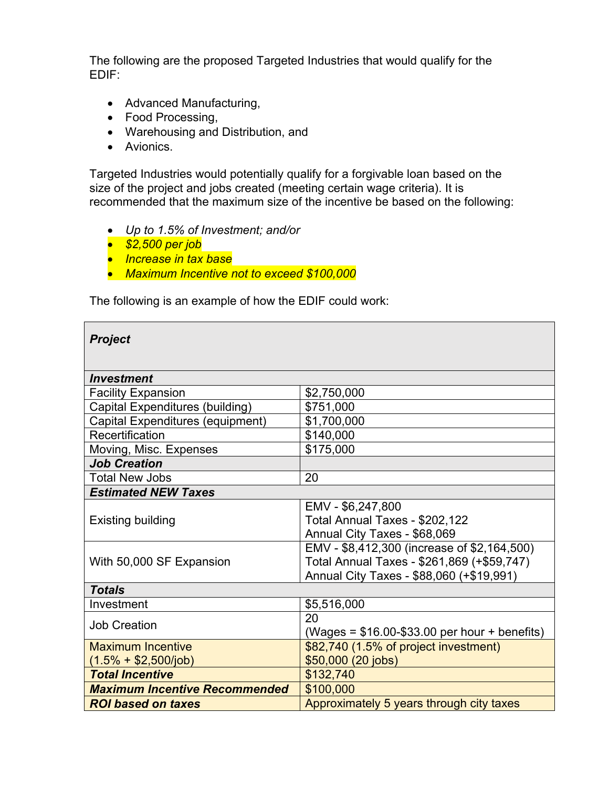The following are the proposed Targeted Industries that would qualify for the EDIF:

- Advanced Manufacturing,
- Food Processing,
- Warehousing and Distribution, and
- Avionics.

Targeted Industries would potentially qualify for a forgivable loan based on the size of the project and jobs created (meeting certain wage criteria). It is recommended that the maximum size of the incentive be based on the following:

- *Up to 1.5% of Investment; and/or*
- *\$2,500 per job*
- *Increase in tax base*
- *Maximum Incentive not to exceed \$100,000*

The following is an example of how the EDIF could work:

| <b>Project</b>                       |                                                |  |
|--------------------------------------|------------------------------------------------|--|
|                                      |                                                |  |
| <b>Investment</b>                    |                                                |  |
| <b>Facility Expansion</b>            | \$2,750,000                                    |  |
| Capital Expenditures (building)      | \$751,000                                      |  |
| Capital Expenditures (equipment)     | \$1,700,000                                    |  |
| Recertification                      | \$140,000                                      |  |
| Moving, Misc. Expenses               | \$175,000                                      |  |
| <b>Job Creation</b>                  |                                                |  |
| Total New Jobs                       | 20                                             |  |
| <b>Estimated NEW Taxes</b>           |                                                |  |
|                                      | EMV - \$6,247,800                              |  |
| <b>Existing building</b>             | Total Annual Taxes - \$202,122                 |  |
|                                      | Annual City Taxes - \$68,069                   |  |
|                                      | EMV - \$8,412,300 (increase of \$2,164,500)    |  |
| With 50,000 SF Expansion             | Total Annual Taxes - \$261,869 (+\$59,747)     |  |
|                                      | Annual City Taxes - \$88,060 (+\$19,991)       |  |
| <b>Totals</b>                        |                                                |  |
| Investment                           | \$5,516,000                                    |  |
| <b>Job Creation</b>                  | 20                                             |  |
|                                      | (Wages = $$16.00-\$33.00$ per hour + benefits) |  |
| <b>Maximum Incentive</b>             | \$82,740 (1.5% of project investment)          |  |
| $(1.5\% + $2,500/job)$               | \$50,000 (20 jobs)                             |  |
| <b>Total Incentive</b>               | \$132,740                                      |  |
| <b>Maximum Incentive Recommended</b> | \$100,000                                      |  |
| <b>ROI based on taxes</b>            | Approximately 5 years through city taxes       |  |